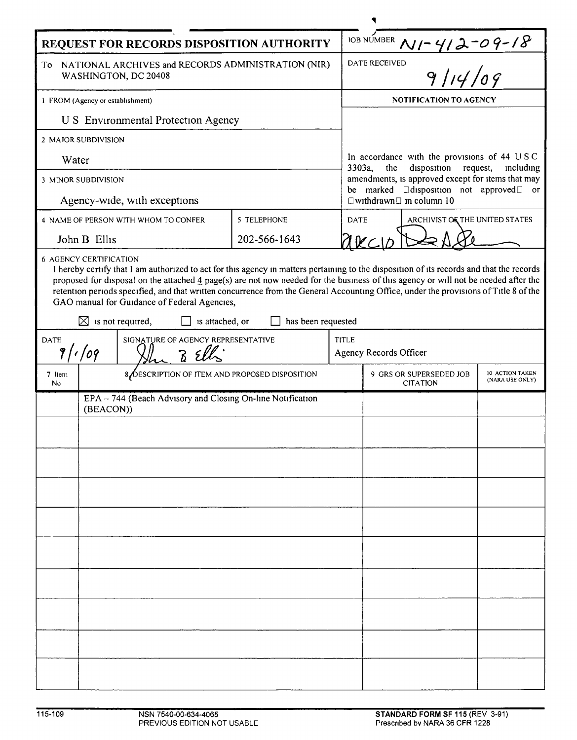| REQUEST FOR RECORDS DISPOSITION AUTHORITY                                                                                                                                                                                                                                                                                                                                                                                                                                                                                                        |                                                |  |              |              |                                                                                                                                                                                                                                                          |  |  |  |
|--------------------------------------------------------------------------------------------------------------------------------------------------------------------------------------------------------------------------------------------------------------------------------------------------------------------------------------------------------------------------------------------------------------------------------------------------------------------------------------------------------------------------------------------------|------------------------------------------------|--|--------------|--------------|----------------------------------------------------------------------------------------------------------------------------------------------------------------------------------------------------------------------------------------------------------|--|--|--|
| NATIONAL ARCHIVES and RECORDS ADMINISTRATION (NIR)<br>To<br>WASHINGTON, DC 20408                                                                                                                                                                                                                                                                                                                                                                                                                                                                 |                                                |  |              |              | IOB NUMBER $N$ / - 4/2 - 09 - 18<br>DATE RECEIVED<br>9/14/09                                                                                                                                                                                             |  |  |  |
| 1 FROM (Agency or establishment)                                                                                                                                                                                                                                                                                                                                                                                                                                                                                                                 |                                                |  |              |              | NOTIFICATION TO AGENCY                                                                                                                                                                                                                                   |  |  |  |
| <b>U S</b> Environmental Protection Agency                                                                                                                                                                                                                                                                                                                                                                                                                                                                                                       |                                                |  |              |              |                                                                                                                                                                                                                                                          |  |  |  |
| 2 MAJOR SUBDIVISION                                                                                                                                                                                                                                                                                                                                                                                                                                                                                                                              |                                                |  |              |              |                                                                                                                                                                                                                                                          |  |  |  |
| Water                                                                                                                                                                                                                                                                                                                                                                                                                                                                                                                                            |                                                |  |              |              | In accordance with the provisions of 44 USC<br>disposition request,<br>3303a,<br>the<br>including<br>amendments, is approved except for items that may<br>be marked<br>$\Box$ disposition not approved $\Box$ or<br>$\Box$ withdrawn $\Box$ in column 10 |  |  |  |
| <b>3 MINOR SUBDIVISION</b>                                                                                                                                                                                                                                                                                                                                                                                                                                                                                                                       |                                                |  |              |              |                                                                                                                                                                                                                                                          |  |  |  |
| Agency-wide, with exceptions                                                                                                                                                                                                                                                                                                                                                                                                                                                                                                                     |                                                |  |              |              |                                                                                                                                                                                                                                                          |  |  |  |
| 4 NAME OF PERSON WITH WHOM TO CONFER                                                                                                                                                                                                                                                                                                                                                                                                                                                                                                             |                                                |  | 5 TELEPHONE  |              | <b>DATE</b><br>ARCHIVIST OF THE UNITED STATES                                                                                                                                                                                                            |  |  |  |
| John B Ellis                                                                                                                                                                                                                                                                                                                                                                                                                                                                                                                                     |                                                |  | 202-566-1643 |              | arcı                                                                                                                                                                                                                                                     |  |  |  |
| I hereby certify that I am authorized to act for this agency in matters pertaining to the disposition of its records and that the records<br>proposed for disposal on the attached 4 page(s) are not now needed for the business of this agency or will not be needed after the<br>retention periods specified, and that written concurrence from the General Accounting Office, under the provisions of Title 8 of the<br>GAO manual for Guidance of Federal Agencies,<br>has been requested<br>$\boxtimes$ is not required,<br>is attached, or |                                                |  |              |              |                                                                                                                                                                                                                                                          |  |  |  |
| SIGNATURE OF AGENCY REPRESENTATIVE<br><b>DATE</b><br>9/1/09                                                                                                                                                                                                                                                                                                                                                                                                                                                                                      |                                                |  |              | <b>TITLE</b> | Agency Records Officer                                                                                                                                                                                                                                   |  |  |  |
| 7 Item<br>No                                                                                                                                                                                                                                                                                                                                                                                                                                                                                                                                     | 8 DESCRIPTION OF ITEM AND PROPOSED DISPOSITION |  |              |              | 9 GRS OR SUPERSEDED JOB<br>10 ACTION TAKEN<br>(NARA USE ONLY)<br><b>CITATION</b>                                                                                                                                                                         |  |  |  |
| EPA - 744 (Beach Advisory and Closing On-line Notification<br>(BEACON))                                                                                                                                                                                                                                                                                                                                                                                                                                                                          |                                                |  |              |              |                                                                                                                                                                                                                                                          |  |  |  |
|                                                                                                                                                                                                                                                                                                                                                                                                                                                                                                                                                  |                                                |  |              |              |                                                                                                                                                                                                                                                          |  |  |  |
|                                                                                                                                                                                                                                                                                                                                                                                                                                                                                                                                                  |                                                |  |              |              |                                                                                                                                                                                                                                                          |  |  |  |
|                                                                                                                                                                                                                                                                                                                                                                                                                                                                                                                                                  |                                                |  |              |              |                                                                                                                                                                                                                                                          |  |  |  |
|                                                                                                                                                                                                                                                                                                                                                                                                                                                                                                                                                  |                                                |  |              |              |                                                                                                                                                                                                                                                          |  |  |  |
|                                                                                                                                                                                                                                                                                                                                                                                                                                                                                                                                                  |                                                |  |              |              |                                                                                                                                                                                                                                                          |  |  |  |
|                                                                                                                                                                                                                                                                                                                                                                                                                                                                                                                                                  |                                                |  |              |              |                                                                                                                                                                                                                                                          |  |  |  |
|                                                                                                                                                                                                                                                                                                                                                                                                                                                                                                                                                  |                                                |  |              |              |                                                                                                                                                                                                                                                          |  |  |  |
|                                                                                                                                                                                                                                                                                                                                                                                                                                                                                                                                                  |                                                |  |              |              |                                                                                                                                                                                                                                                          |  |  |  |
|                                                                                                                                                                                                                                                                                                                                                                                                                                                                                                                                                  |                                                |  |              |              |                                                                                                                                                                                                                                                          |  |  |  |
|                                                                                                                                                                                                                                                                                                                                                                                                                                                                                                                                                  |                                                |  |              |              |                                                                                                                                                                                                                                                          |  |  |  |
|                                                                                                                                                                                                                                                                                                                                                                                                                                                                                                                                                  |                                                |  |              |              |                                                                                                                                                                                                                                                          |  |  |  |
|                                                                                                                                                                                                                                                                                                                                                                                                                                                                                                                                                  |                                                |  |              |              |                                                                                                                                                                                                                                                          |  |  |  |
|                                                                                                                                                                                                                                                                                                                                                                                                                                                                                                                                                  |                                                |  |              |              |                                                                                                                                                                                                                                                          |  |  |  |
|                                                                                                                                                                                                                                                                                                                                                                                                                                                                                                                                                  |                                                |  |              |              |                                                                                                                                                                                                                                                          |  |  |  |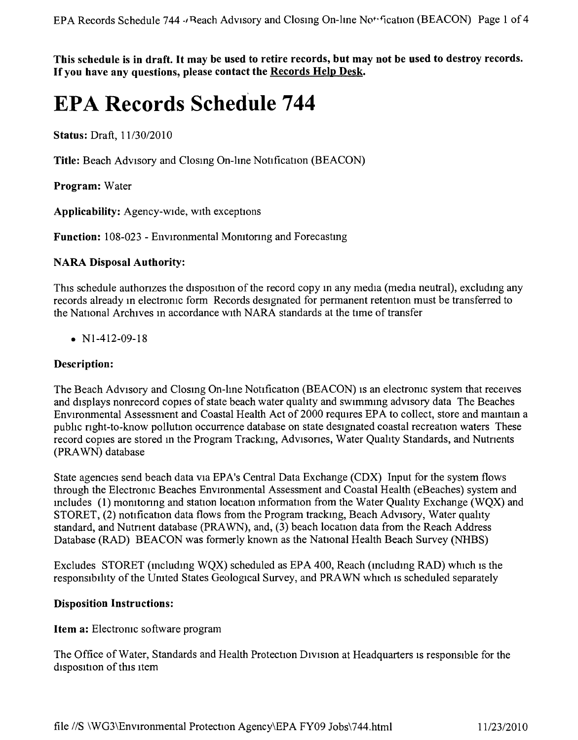This schedule is in draft. It may be used to retire records, but may not be used to destroy records. **If you have any questions, please contact the Records Help Desk.**

# **EPA Records** Schedule **744**

**Status:** Draft, *11/3012010*

Title: Beach Advisory and Closing On-line Notification (BEACON)

**Program:** Water

**Applicability:** Agency-wide, with exceptions

**Function:** 108-023 - Environmental Monitoring and Forecasting

#### **NARA Disposal Authority:**

This schedule authorizes the disposition of the record copy in any media (media neutral), excluding any records already in electronic form Records designated for permanent retention must be transferred to the National Archives in accordance with NARA standards at the time of transfer

•  $N1-412-09-18$ 

#### **Description:**

The Beach Advisory and Closing On-line Notification (BEACON) is an electronic system that receives and displays nonrecord copies of state beach water quality and swimmmg advisory data The Beaches Environmental Assessment and Coastal Health Act of 2000 requires EPA to collect, store and mamtam a pubhc nght-to-know pollution occurrence database on state designated coastal recreation waters These record copies are stored in the Program Trackmg, Advisones, Water Quality Standards, and Nutnents (PRA WN) database

State agencies send beach data Via EPA's Central Data Exchange (CDX) Input for the system flows through the Electroruc Beaches Environmental Assessment and Coastal Health (eBeaches) system and mcludes (1) morntonng and station location information from the Water Quality Exchange (WQX) and STORET, (2) notification data flows from the Program tracking, Beach Advisory, Water quality standard, and Nutnent database (PRAWN), and, (3) beach location data from the Reach Address Database (RAD) BEACON was formerly known as the National Health Beach Survey (NHBS)

Excludes STORET (including WOX) scheduled as  $EPA$  400, Reach (including RAD) which is the responsibility of the United States Geological Survey, and PRAWN which is scheduled separately

#### **Disposition Instructions:**

**Item a:** Electronic software program

The Office of Water, Standards and Health Protection Division at Headquarters is responsible for the disposition of this item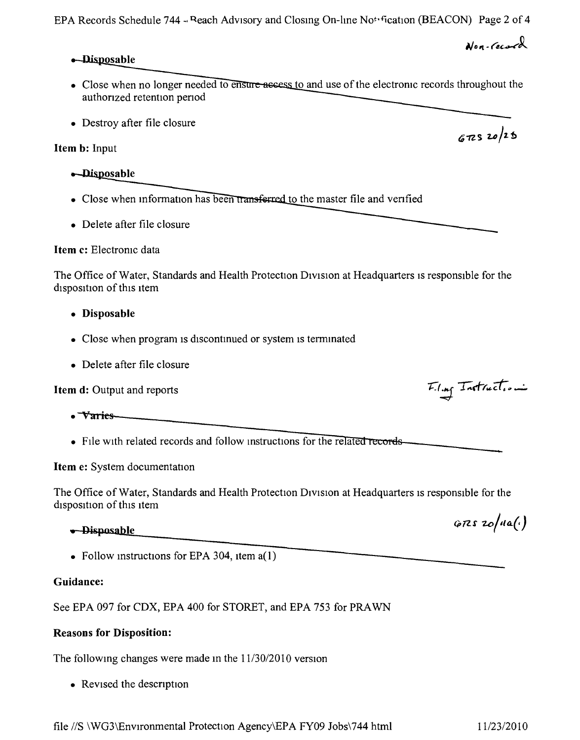file *liS* \WG3\EnvIronmental Protection Agency\EPA FY09 Jobs\744 html *1112312010*

## -Disposable

• Close when no longer needed to ensure-asses to and use of the electronic records throughout the authonzed retention penod

EPA Records Schedule 744 - Beach Advisory and Closing On-line Not fication (BEACON) Page 2 of 4

• Destroy after file closure

## Item b: Input

- -Disposable
- Close when information has been transferred to the master file and verified
- Delete after file closure

## Item c: Electronic data

The Office of Water, Standards and Health Protection Division at Headquarters is responsible for the disposition of this Item

- Disposable
- Close when program is discontinued or system is terminated
- Delete after file closure

Item d: Output and reports

- 
- Varies<br>• Varies<br>• File with related records and follow instructions for • File with related records and follow instructions for the relate

Item e: System documentation

The Office of Water, Standards and Health Protection Division at Headquarters is responsible for the disposition of this Item

## <del>• Disposable</del>

• Follow instructions for EPA 304, item a(1)

## Guidance:

See EPA 097 for CDX, EPA 400 for STORET, and EPA 753 for PRAWN

## Reasons for Disposition:

The following changes were made in the  $11/30/2010$  version

• Revised the description



 $6725$  20/25

 $GRS$  zo/na(.)

*<u>Non-record</u>*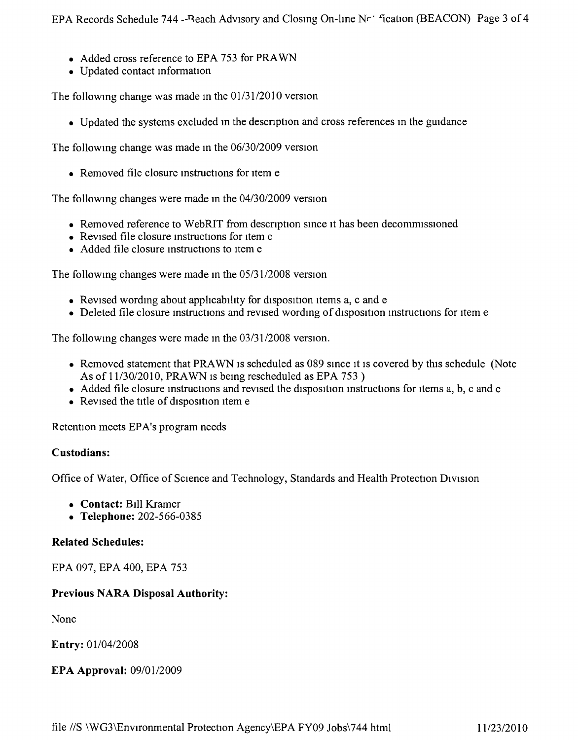- Added cross reference to EPA 753 for PRAWN
- Updated contact information

The following change was made in the 01/31/2010 version

• Updated the systems excluded in the description and cross references in the guidance

The following change was made in the 06/30/2009 version

• Removed file closure instructions for item e

The following changes were made in the  $04/30/2009$  version

- Removed reference to WebRIT from description since it has been decommissioned
- Revised file closure instructions for item c
- Added file closure instructions to item e

The following changes were made in the 05/31/2008 version

- Revised wording about applicability for disposition items a, c and e
- Deleted file closure instructions and revised wording of disposition instructions for item e

The following changes were made in the 03/31/2008 version.

- Removed statement that PRAWN is scheduled as 089 since it is covered by this schedule (Note As of 11/30/2010, PRAWN is being rescheduled as EPA 753)
- Added file closure instructions and revised the disposition instructions for items a, b, c and e
- Revised the title of disposition item e

Retention meets EPA's program needs

#### Custodians:

Office of Water, Office of Science and Technology, Standards and Health Protection Division

- Contact: Bill Kramer
- Telephone: 202-566-0385

#### **Related Schedules:**

EPA 097, EPA 400, EPA 753

## **Previous NARA Disposal Authority:**

None

Entry: 01/04/2008

## **EPA Approval: 09/01/2009**